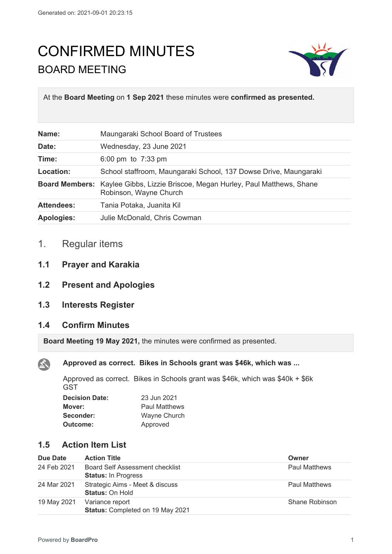# CONFIRMED MINUTES BOARD MEETING



At the **Board Meeting** on **1 Sep 2021** these minutes were **confirmed as presented.**

| Name:             | Maungaraki School Board of Trustees                                                                              |
|-------------------|------------------------------------------------------------------------------------------------------------------|
| Date:             | Wednesday, 23 June 2021                                                                                          |
| Time:             | 6:00 pm to $7:33$ pm                                                                                             |
| Location:         | School staffroom, Maungaraki School, 137 Dowse Drive, Maungaraki                                                 |
|                   | <b>Board Members:</b> Kaylee Gibbs, Lizzie Briscoe, Megan Hurley, Paul Matthews, Shane<br>Robinson, Wayne Church |
| <b>Attendees:</b> | Tania Potaka, Juanita Kil                                                                                        |
| <b>Apologies:</b> | Julie McDonald, Chris Cowman                                                                                     |

# 1. Regular items

- **1.1 Prayer and Karakia**
- **1.2 Present and Apologies**
- **1.3 Interests Register**

## **1.4 Confirm Minutes**

 $\mathbf{A}$ 

**Board Meeting 19 May 2021,** the minutes were confirmed as presented.

**Approved as correct. Bikes in Schools grant was \$46k, which was ...**

Approved as correct. Bikes in Schools grant was \$46k, which was \$40k + \$6k **GST** 

| <b>Decision Date:</b> | 23 Jun 2021          |
|-----------------------|----------------------|
| Mover:                | <b>Paul Matthews</b> |
| Seconder:             | Wayne Church         |
| Outcome:              | Approved             |

# **1.5 Action Item List**

| Due Date    | <b>Action Title</b>                                           | Owner                |
|-------------|---------------------------------------------------------------|----------------------|
| 24 Feb 2021 | Board Self Assessment checklist<br><b>Status: In Progress</b> | <b>Paul Matthews</b> |
| 24 Mar 2021 | Strategic Aims - Meet & discuss<br><b>Status: On Hold</b>     | <b>Paul Matthews</b> |
| 19 May 2021 | Variance report<br>Status: Completed on 19 May 2021           | Shane Robinson       |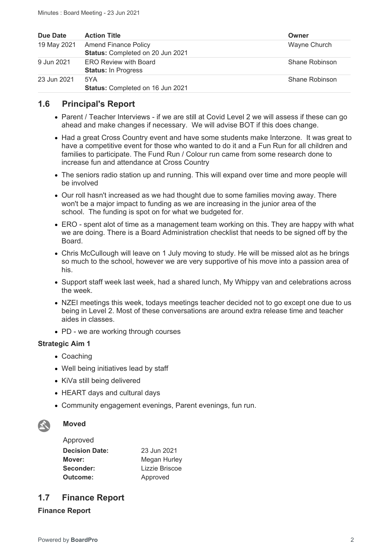| Due Date    | <b>Action Title</b>                                             | Owner          |
|-------------|-----------------------------------------------------------------|----------------|
| 19 May 2021 | <b>Amend Finance Policy</b><br>Status: Completed on 20 Jun 2021 | Wayne Church   |
| 9 Jun 2021  | <b>ERO Review with Board</b><br><b>Status: In Progress</b>      | Shane Robinson |
| 23 Jun 2021 | 5YA<br>Status: Completed on 16 Jun 2021                         | Shane Robinson |

## **1.6 Principal's Report**

- Parent / Teacher Interviews if we are still at Covid Level 2 we will assess if these can go ahead and make changes if necessary. We will advise BOT if this does change.
- Had a great Cross Country event and have some students make Interzone. It was great to have a competitive event for those who wanted to do it and a Fun Run for all children and families to participate. The Fund Run / Colour run came from some research done to increase fun and attendance at Cross Country
- The seniors radio station up and running. This will expand over time and more people will be involved
- Our roll hasn't increased as we had thought due to some families moving away. There won't be a major impact to funding as we are increasing in the junior area of the school. The funding is spot on for what we budgeted for.
- ERO spent alot of time as a management team working on this. They are happy with what we are doing. There is a Board Administration checklist that needs to be signed off by the Board.
- Chris McCullough will leave on 1 July moving to study. He will be missed alot as he brings so much to the school, however we are very supportive of his move into a passion area of his.
- Support staff week last week, had a shared lunch, My Whippy van and celebrations across the week.
- NZEI meetings this week, todays meetings teacher decided not to go except one due to us being in Level 2. Most of these conversations are around extra release time and teacher aides in classes.
- PD we are working through courses

#### **Strategic Aim 1**

- Coaching
- Well being initiatives lead by staff
- KiVa still being delivered
- HEART days and cultural days
- Community engagement evenings, Parent evenings, fun run.



#### **Moved**

| 23 Jun 2021    |
|----------------|
| Megan Hurley   |
| Lizzie Briscoe |
| Approved       |
|                |

## **1.7 Finance Report**

#### **Finance Report**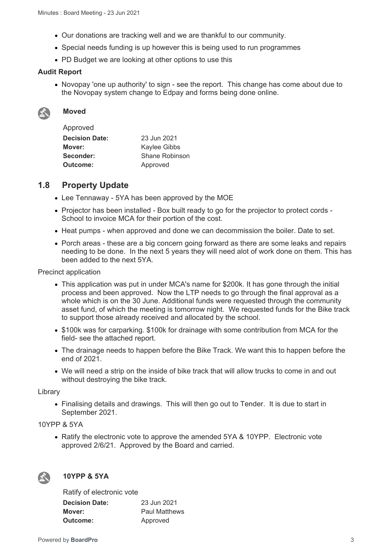- Our donations are tracking well and we are thankful to our community.
- Special needs funding is up however this is being used to run programmes
- PD Budget we are looking at other options to use this

#### **Audit Report**

• Novopay 'one up authority' to sign - see the report. This change has come about due to the Novopay system change to Edpay and forms being done online.



## **Moved**

Approved

| Approveu              |                |
|-----------------------|----------------|
| <b>Decision Date:</b> | 23 Jun 2021    |
| Mover:                | Kaylee Gibbs   |
| Seconder:             | Shane Robinson |
| Outcome:              | Approved       |
|                       |                |

## **1.8 Property Update**

- Lee Tennaway 5YA has been approved by the MOE
- Projector has been installed Box built ready to go for the projector to protect cords -School to invoice MCA for their portion of the cost.
- Heat pumps when approved and done we can decommission the boiler. Date to set.
- Porch areas these are a big concern going forward as there are some leaks and repairs needing to be done. In the next 5 years they will need alot of work done on them. This has been added to the next 5YA.

Precinct application

- This application was put in under MCA's name for \$200k. It has gone through the initial process and been approved. Now the LTP needs to go through the final approval as a whole which is on the 30 June. Additional funds were requested through the community asset fund, of which the meeting is tomorrow night. We requested funds for the Bike track to support those already received and allocated by the school.
- \$100k was for carparking. \$100k for drainage with some contribution from MCA for the field- see the attached report.
- The drainage needs to happen before the Bike Track. We want this to happen before the end of 2021.
- We will need a strip on the inside of bike track that will allow trucks to come in and out without destroying the bike track.

Library

 Finalising details and drawings. This will then go out to Tender. It is due to start in September 2021.

#### 10YPP & 5YA

• Ratify the electronic vote to approve the amended 5YA & 10YPP. Electronic vote approved 2/6/21. Approved by the Board and carried.



## **10YPP & 5YA**

| Ratify of electronic vote |                      |
|---------------------------|----------------------|
| <b>Decision Date:</b>     | 23 Jun 2021          |
| Mover:                    | <b>Paul Matthews</b> |
| <b>Outcome:</b>           | Approved             |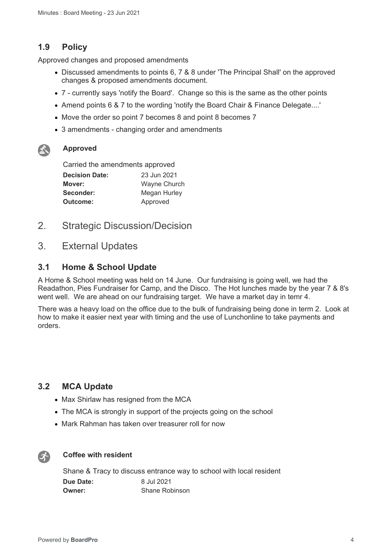# **1.9 Policy**

Approved changes and proposed amendments

- Discussed amendments to points 6, 7 & 8 under 'The Principal Shall' on the approved changes & proposed amendments document.
- 7 currently says 'notify the Board'. Change so this is the same as the other points
- Amend points 6 & 7 to the wording 'notify the Board Chair & Finance Delegate....'
- Move the order so point 7 becomes 8 and point 8 becomes 7
- 3 amendments changing order and amendments



#### **Approved**

| Carried the amendments approved |              |
|---------------------------------|--------------|
| <b>Decision Date:</b>           | 23 Jun 2021  |
| Mover:                          | Wayne Church |
| Seconder:                       | Megan Hurley |
| Approved<br><b>Outcome:</b>     |              |

- 2. Strategic Discussion/Decision
- 3. External Updates

## **3.1 Home & School Update**

A Home & School meeting was held on 14 June. Our fundraising is going well, we had the Readathon, Pies Fundraiser for Camp, and the Disco. The Hot lunches made by the year 7 & 8's went well. We are ahead on our fundraising target. We have a market day in temr 4.

There was a heavy load on the office due to the bulk of fundraising being done in term 2. Look at how to make it easier next year with timing and the use of Lunchonline to take payments and orders.

## **3.2 MCA Update**

- Max Shirlaw has resigned from the MCA
- The MCA is strongly in support of the projects going on the school
- Mark Rahman has taken over treasurer roll for now



#### **Coffee with resident**

Shane & Tracy to discuss entrance way to school with local resident **Due Date:** 8 Jul 2021 **Owner:** Shane Robinson